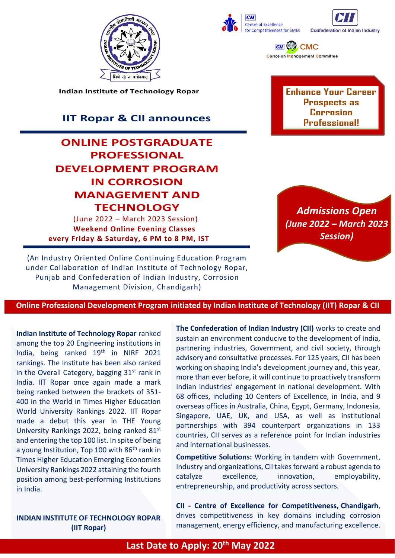





 $\overline{c}$   $\mathbb{Z}$  CMC **Corrosion Management Committee** 

**Indian Institute of Technology Ropar**

# **IIT Ropar & CII announces**

# **ONLINE POSTGRADUATE PROFESSIONAL DEVELOPMENT PROGRAM IN CORROSION MANAGEMENT AND TECHNOLOGY**

 (June 2022 – March 2023 Session)  **Weekend Online Evening Classes every Friday & Saturday, 6 PM to 8 PM, IST**  **Enhance Your Career Prospects as Corrosion Professional!**



(An Industry Oriented Online Continuing Education Program under Collaboration of Indian Institute of Technology Ropar, Punjab and Confederation of Indian Industry, Corrosion Management Division, Chandigarh)

**Online Professional Development Program initiated by Indian Institute of Technology (IIT) Ropar & CII**

**Indian Institute of Technology Ropar** ranked among the top 20 Engineering institutions in India, being ranked  $19<sup>th</sup>$  in NIRF 2021 rankings. The Institute has been also ranked in the Overall Category, bagging 31<sup>st</sup> rank in India. IIT Ropar once again made a mark being ranked between the brackets of 351- 400 in the World in Times Higher Education World University Rankings 2022. IIT Ropar made a debut this year in THE Young University Rankings 2022, being ranked 81st and entering the top 100 list. In spite of being a young Institution, Top 100 with 86<sup>th</sup> rank in Times Higher Education Emerging Economies University Rankings 2022 attaining the fourth position among best-performing Institutions in India.

**INDIAN INSTITUTE OF TECHNOLOGY ROPAR (IIT Ropar)**

**The Confederation of Indian Industry (CII)** works to create and sustain an environment conducive to the development of India, partnering industries, Government, and civil society, through advisory and consultative processes. For 125 years, CII has been working on shaping India's development journey and, this year, more than ever before, it will continue to proactively transform Indian industries' engagement in national development. With 68 offices, including 10 Centers of Excellence, in India, and 9 overseas offices in Australia, China, Egypt, Germany, Indonesia, Singapore, UAE, UK, and USA, as well as institutional partnerships with 394 counterpart organizations in 133 countries, CII serves as a reference point for Indian industries and international businesses.

**Competitive Solutions:** Working in tandem with Government, Industry and organizations, CII takes forward a robust agenda to catalyze excellence, innovation, employability, entrepreneurship, and productivity across sectors.

**CII - [Centre of Excellence for Competitiveness,](http://www.cii-competitiveness.in/) Chandigarh**, drives competitiveness in key domains including corrosion management, energy efficiency, and manufacturing excellence.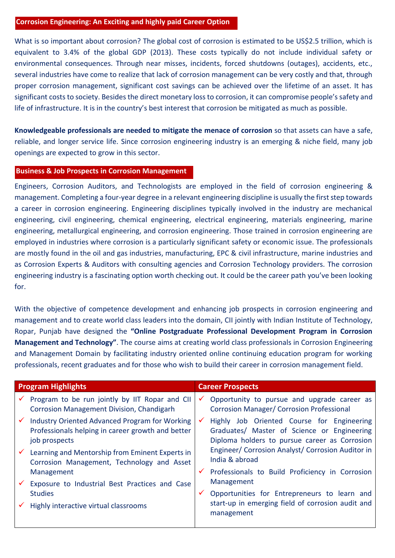## **Corrosion Engineering: An Exciting and highly paid Career Option**

What is so important about corrosion? The global cost of corrosion is estimated to be US\$2.5 trillion, which is equivalent to 3.4% of the global GDP (2013). These costs typically do not include individual safety or environmental consequences. Through near misses, incidents, forced shutdowns (outages), accidents, etc., several industries have come to realize that lack of corrosion management can be very costly and that, through proper corrosion management, significant cost savings can be achieved over the lifetime of an asset. It has significant costs to society. Besides the direct monetary loss to corrosion, it can compromise people's safety and life of infrastructure. It is in the country's best interest that corrosion be mitigated as much as possible.

**Knowledgeable professionals are needed to mitigate the menace of corrosion** so that assets can have a safe, reliable, and longer service life. Since corrosion engineering industry is an emerging & niche field, many job openings are expected to grow in this sector.

## **Business & Job Prospects in Corrosion Management**

Engineers, Corrosion Auditors, and Technologists are employed in the field of corrosion engineering & management. Completing a four-year degree in a relevant engineering discipline is usually the first step towards a career in corrosion engineering. Engineering disciplines typically involved in the industry are mechanical engineering, civil engineering, chemical engineering, electrical engineering, materials engineering, marine engineering, metallurgical engineering, and corrosion engineering. Those trained in corrosion engineering are employed in industries where corrosion is a particularly significant safety or economic issue. The professionals are mostly found in the oil and gas industries, manufacturing, EPC & civil infrastructure, marine industries and as Corrosion Experts & Auditors with consulting agencies and Corrosion Technology providers. The corrosion engineering industry is a fascinating option worth checking out. It could be the career path you've been looking for.

With the objective of competence development and enhancing job prospects in corrosion engineering and management and to create world class leaders into the domain, CII jointly with Indian Institute of Technology, Ropar, Punjab have designed the **"Online Postgraduate Professional Development Program in Corrosion Management and Technology"**. The course aims at creating world class professionals in Corrosion Engineering and Management Domain by facilitating industry oriented online continuing education program for working professionals, recent graduates and for those who wish to build their career in corrosion management field.

| <b>Program Highlights</b> |                                                                                                                             | <b>Career Prospects</b> |                                                                                                                                            |
|---------------------------|-----------------------------------------------------------------------------------------------------------------------------|-------------------------|--------------------------------------------------------------------------------------------------------------------------------------------|
|                           | Program to be run jointly by IIT Ropar and CII<br>Corrosion Management Division, Chandigarh                                 | $\checkmark$            | Opportunity to pursue and upgrade career as<br><b>Corrosion Manager/ Corrosion Professional</b>                                            |
|                           | <b>Industry Oriented Advanced Program for Working</b><br>Professionals helping in career growth and better<br>job prospects | $\checkmark$            | Highly Job Oriented Course for Engineering<br>Graduates/ Master of Science or Engineering<br>Diploma holders to pursue career as Corrosion |
|                           | Learning and Mentorship from Eminent Experts in<br>Corrosion Management, Technology and Asset                               |                         | Engineer/ Corrosion Analyst/ Corrosion Auditor in<br>India & abroad                                                                        |
|                           | Management                                                                                                                  |                         | Professionals to Build Proficiency in Corrosion                                                                                            |
|                           | Exposure to Industrial Best Practices and Case                                                                              |                         | Management                                                                                                                                 |
|                           | <b>Studies</b>                                                                                                              |                         | Opportunities for Entrepreneurs to learn and                                                                                               |
|                           | Highly interactive virtual classrooms                                                                                       |                         | start-up in emerging field of corrosion audit and<br>management                                                                            |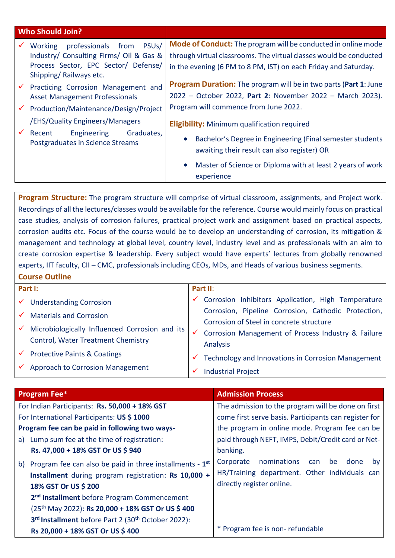| <b>Who Should Join?</b>                                                                                                                                             |                                                                                                                                                                                                                                            |
|---------------------------------------------------------------------------------------------------------------------------------------------------------------------|--------------------------------------------------------------------------------------------------------------------------------------------------------------------------------------------------------------------------------------------|
| professionals<br>PSU <sub>s</sub> /<br>Working<br>from<br>Industry/ Consulting Firms/ Oil & Gas &<br>Process Sector, EPC Sector/ Defense/<br>Shipping/Railways etc. | Mode of Conduct: The program will be conducted in online mode<br>through virtual classrooms. The virtual classes would be conducted<br>in the evening (6 PM to 8 PM, IST) on each Friday and Saturday.                                     |
| Practicing Corrosion Management and<br>$\checkmark$<br><b>Asset Management Professionals</b>                                                                        | <b>Program Duration:</b> The program will be in two parts (Part 1: June<br>2022 - October 2022, Part 2: November 2022 - March 2023).                                                                                                       |
| Production/Maintenance/Design/Project<br>$\checkmark$<br>/EHS/Quality Engineers/Managers                                                                            | Program will commence from June 2022.                                                                                                                                                                                                      |
| Graduates,<br>$\checkmark$<br>Recent<br>Engineering<br>Postgraduates in Science Streams                                                                             | <b>Eligibility:</b> Minimum qualification required<br>Bachelor's Degree in Engineering (Final semester students<br>awaiting their result can also register) OR<br>Master of Science or Diploma with at least 2 years of work<br>experience |

**Program Structure:** The program structure will comprise of virtual classroom, assignments, and Project work. Recordings of all the lectures/classes would be available for the reference. Course would mainly focus on practical case studies, analysis of corrosion failures, practical project work and assignment based on practical aspects, corrosion audits etc. Focus of the course would be to develop an understanding of corrosion, its mitigation & management and technology at global level, country level, industry level and as professionals with an aim to create corrosion expertise & leadership. Every subject would have experts' lectures from globally renowned experts, IIT faculty, CII – CMC, professionals including CEOs, MDs, and Heads of various business segments. **Course Outline**

| Part I:      |                                                | Part II: |                                                                                                                                                       |  |  |
|--------------|------------------------------------------------|----------|-------------------------------------------------------------------------------------------------------------------------------------------------------|--|--|
|              | $\checkmark$ Understanding Corrosion           |          | Corrosion Inhibitors Application, High Temperature                                                                                                    |  |  |
|              | <b>Materials and Corrosion</b>                 |          | Corrosion, Pipeline Corrosion, Cathodic Protection,<br>Corrosion of Steel in concrete structure<br>Corrosion Management of Process Industry & Failure |  |  |
| $\checkmark$ | Microbiologically Influenced Corrosion and its |          |                                                                                                                                                       |  |  |
|              | Control, Water Treatment Chemistry             |          | Analysis                                                                                                                                              |  |  |
|              | $\checkmark$ Protective Paints & Coatings      |          | Technology and Innovations in Corrosion Management                                                                                                    |  |  |
|              | $\checkmark$ Approach to Corrosion Management  |          | <b>Industrial Project</b>                                                                                                                             |  |  |

| <b>Program Fee*</b>                                                                                                                                                                                                                                                                                                                                     | <b>Admission Process</b>                                                                                                                 |  |  |  |  |
|---------------------------------------------------------------------------------------------------------------------------------------------------------------------------------------------------------------------------------------------------------------------------------------------------------------------------------------------------------|------------------------------------------------------------------------------------------------------------------------------------------|--|--|--|--|
| For Indian Participants: Rs. 50,000 + 18% GST                                                                                                                                                                                                                                                                                                           | The admission to the program will be done on first                                                                                       |  |  |  |  |
| For International Participants: US \$1000                                                                                                                                                                                                                                                                                                               | come first serve basis. Participants can register for                                                                                    |  |  |  |  |
| Program fee can be paid in following two ways-                                                                                                                                                                                                                                                                                                          | the program in online mode. Program fee can be                                                                                           |  |  |  |  |
| Lump sum fee at the time of registration:<br>a)                                                                                                                                                                                                                                                                                                         | paid through NEFT, IMPS, Debit/Credit card or Net-                                                                                       |  |  |  |  |
| Rs. 47,000 + 18% GST Or US \$940                                                                                                                                                                                                                                                                                                                        | banking.                                                                                                                                 |  |  |  |  |
| Program fee can also be paid in three installments - 1 <sup>st</sup><br>b)<br>Installment during program registration: Rs 10,000 +<br>18% GST Or US \$ 200<br>2 <sup>nd</sup> Installment before Program Commencement<br>(25 <sup>th</sup> May 2022): Rs 20,000 + 18% GST Or US \$400<br>3rd Installment before Part 2 (30 <sup>th</sup> October 2022): | nominations<br>Corporate<br>done<br>be<br>can<br><b>by</b><br>HR/Training department. Other individuals can<br>directly register online. |  |  |  |  |
| Rs 20,000 + 18% GST Or US \$400                                                                                                                                                                                                                                                                                                                         | * Program fee is non-refundable                                                                                                          |  |  |  |  |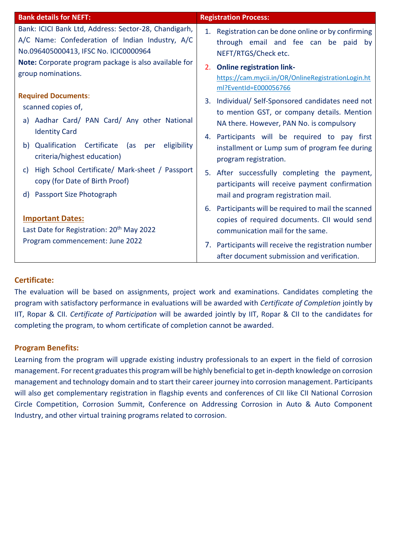| <b>Bank details for NEFT:</b>                                                                                                                                                                              | <b>Registration Process:</b>                                                                                                             |
|------------------------------------------------------------------------------------------------------------------------------------------------------------------------------------------------------------|------------------------------------------------------------------------------------------------------------------------------------------|
| Bank: ICICI Bank Ltd, Address: Sector-28, Chandigarh,<br>A/C Name: Confederation of Indian Industry, A/C<br>No.096405000413, IFSC No. ICIC0000964<br>Note: Corporate program package is also available for | 1. Registration can be done online or by confirming<br>through email and fee can be paid<br>bv<br>NEFT/RTGS/Check etc.                   |
| group nominations.                                                                                                                                                                                         | <b>Online registration link-</b><br>2.<br>https://cam.mycii.in/OR/OnlineRegistrationLogin.ht<br>ml?EventId=E000056766                    |
| <b>Required Documents:</b><br>scanned copies of,                                                                                                                                                           | Individual/ Self-Sponsored candidates need not<br>3.<br>to mention GST, or company details. Mention                                      |
| Aadhar Card/ PAN Card/ Any other National<br>a)<br><b>Identity Card</b>                                                                                                                                    | NA there. However, PAN No. is compulsory<br>4. Participants will be required to pay first                                                |
| Certificate<br>Qualification<br>(as<br>eligibility<br>b)<br>per<br>criteria/highest education)                                                                                                             | installment or Lump sum of program fee during<br>program registration.                                                                   |
| High School Certificate/ Mark-sheet / Passport<br>C)<br>copy (for Date of Birth Proof)                                                                                                                     | After successfully completing the payment,<br>5.<br>participants will receive payment confirmation                                       |
| <b>Passport Size Photograph</b><br>$\mathsf{d}$                                                                                                                                                            | mail and program registration mail.                                                                                                      |
| <b>Important Dates:</b><br>Last Date for Registration: 20 <sup>th</sup> May 2022                                                                                                                           | 6. Participants will be required to mail the scanned<br>copies of required documents. CII would send<br>communication mail for the same. |
| Program commencement: June 2022                                                                                                                                                                            | 7. Participants will receive the registration number<br>after document submission and verification.                                      |

# **Certificate:**

The evaluation will be based on assignments, project work and examinations. Candidates completing the program with satisfactory performance in evaluations will be awarded with *Certificate of Completion* jointly by IIT, Ropar & CII. *Certificate of Participation* will be awarded jointly by IIT, Ropar & CII to the candidates for completing the program, to whom certificate of completion cannot be awarded.

# **Program Benefits:**

Learning from the program will upgrade existing industry professionals to an expert in the field of corrosion management. For recent graduates this program will be highly beneficial to get in-depth knowledge on corrosion management and technology domain and to start their career journey into corrosion management. Participants will also get complementary registration in flagship events and conferences of CII like CII National Corrosion Circle Competition, Corrosion Summit, Conference on Addressing Corrosion in Auto & Auto Component Industry, and other virtual training programs related to corrosion.